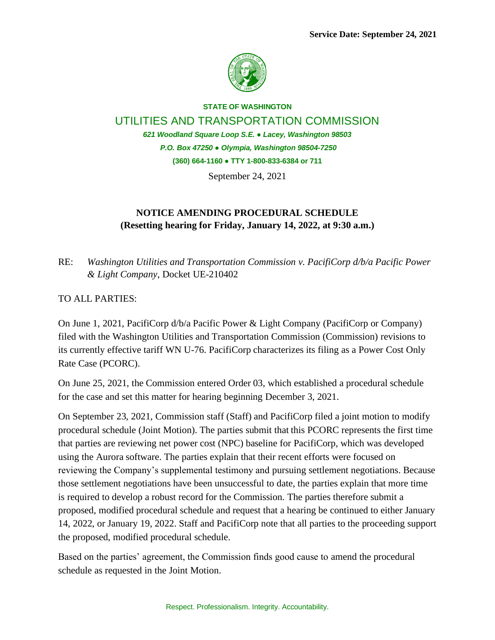

**STATE OF WASHINGTON** UTILITIES AND TRANSPORTATION COMMISSION *621 Woodland Square Loop S.E. ● Lacey, Washington 98503 P.O. Box 47250 ● Olympia, Washington 98504-7250* **(360) 664-1160 ● TTY 1-800-833-6384 or 711**

September 24, 2021

## **NOTICE AMENDING PROCEDURAL SCHEDULE (Resetting hearing for Friday, January 14, 2022, at 9:30 a.m.)**

RE: *Washington Utilities and Transportation Commission v. PacifiCorp d/b/a Pacific Power & Light Company*, Docket UE-210402

## TO ALL PARTIES:

On June 1, 2021, PacifiCorp d/b/a Pacific Power & Light Company (PacifiCorp or Company) filed with the Washington Utilities and Transportation Commission (Commission) revisions to its currently effective tariff WN U-76. PacifiCorp characterizes its filing as a Power Cost Only Rate Case (PCORC).

On June 25, 2021, the Commission entered Order 03, which established a procedural schedule for the case and set this matter for hearing beginning December 3, 2021.

On September 23, 2021, Commission staff (Staff) and PacifiCorp filed a joint motion to modify procedural schedule (Joint Motion). The parties submit that this PCORC represents the first time that parties are reviewing net power cost (NPC) baseline for PacifiCorp, which was developed using the Aurora software. The parties explain that their recent efforts were focused on reviewing the Company's supplemental testimony and pursuing settlement negotiations. Because those settlement negotiations have been unsuccessful to date, the parties explain that more time is required to develop a robust record for the Commission. The parties therefore submit a proposed, modified procedural schedule and request that a hearing be continued to either January 14, 2022, or January 19, 2022. Staff and PacifiCorp note that all parties to the proceeding support the proposed, modified procedural schedule.

Based on the parties' agreement, the Commission finds good cause to amend the procedural schedule as requested in the Joint Motion.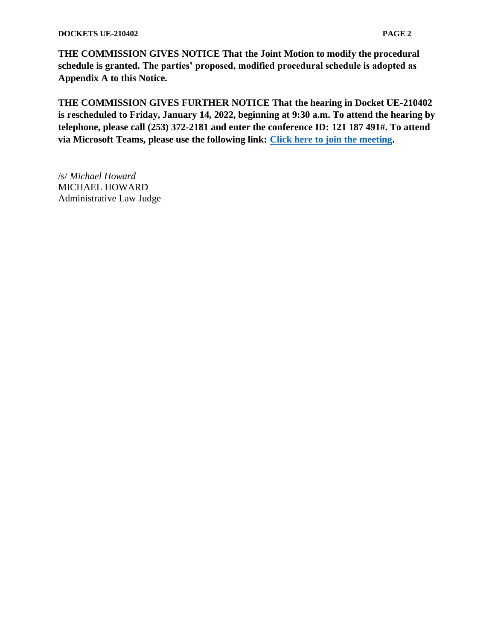## **DOCKETS UE-210402 PAGE 2**

**THE COMMISSION GIVES NOTICE That the Joint Motion to modify the procedural schedule is granted. The parties' proposed, modified procedural schedule is adopted as Appendix A to this Notice.**

**THE COMMISSION GIVES FURTHER NOTICE That the hearing in Docket UE-210402 is rescheduled to Friday, January 14, 2022, beginning at 9:30 a.m. To attend the hearing by telephone, please call (253) 372-2181 and enter the conference ID: 121 187 491#. To attend via Microsoft Teams, please use the following link: [Click here to join the meeting.](https://teams.microsoft.com/l/meetup-join/19%3ameeting_ODlkY2NlYTUtMDNkZi00ZTFlLThhYmYtYjBhZTk4YTYzMTdh%40thread.v2/0?context=%7b%22Tid%22%3a%2211d0e217-264e-400a-8ba0-57dcc127d72d%22%2c%22Oid%22%3a%22e087eca4-4cd8-416f-8fc0-53ed60dbc833%22%7d)**

/s/ *Michael Howard* MICHAEL HOWARD Administrative Law Judge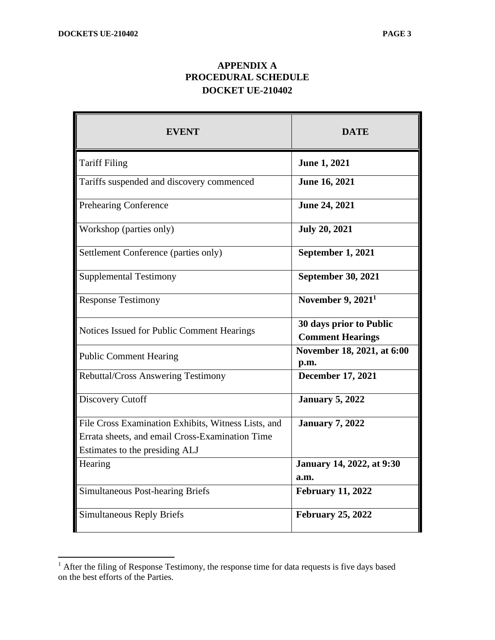## **APPENDIX A PROCEDURAL SCHEDULE DOCKET UE-210402**

| EVENT                                               | <b>DATE</b>                                        |
|-----------------------------------------------------|----------------------------------------------------|
| <b>Tariff Filing</b>                                | <b>June 1, 2021</b>                                |
| Tariffs suspended and discovery commenced           | June 16, 2021                                      |
| <b>Prehearing Conference</b>                        | June 24, 2021                                      |
| Workshop (parties only)                             | <b>July 20, 2021</b>                               |
| Settlement Conference (parties only)                | September 1, 2021                                  |
| <b>Supplemental Testimony</b>                       | <b>September 30, 2021</b>                          |
| <b>Response Testimony</b>                           | November $9, 20211$                                |
| Notices Issued for Public Comment Hearings          | 30 days prior to Public<br><b>Comment Hearings</b> |
| <b>Public Comment Hearing</b>                       | November 18, 2021, at 6:00<br>p.m.                 |
| <b>Rebuttal/Cross Answering Testimony</b>           | <b>December 17, 2021</b>                           |
| Discovery Cutoff                                    | <b>January 5, 2022</b>                             |
| File Cross Examination Exhibits, Witness Lists, and | <b>January 7, 2022</b>                             |
| Errata sheets, and email Cross-Examination Time     |                                                    |
| Estimates to the presiding ALJ                      |                                                    |
| Hearing                                             | January 14, 2022, at 9:30                          |
|                                                     | a.m.                                               |
| <b>Simultaneous Post-hearing Briefs</b>             | <b>February 11, 2022</b>                           |
| <b>Simultaneous Reply Briefs</b>                    | <b>February 25, 2022</b>                           |

 $<sup>1</sup>$  After the filing of Response Testimony, the response time for data requests is five days based</sup> on the best efforts of the Parties.